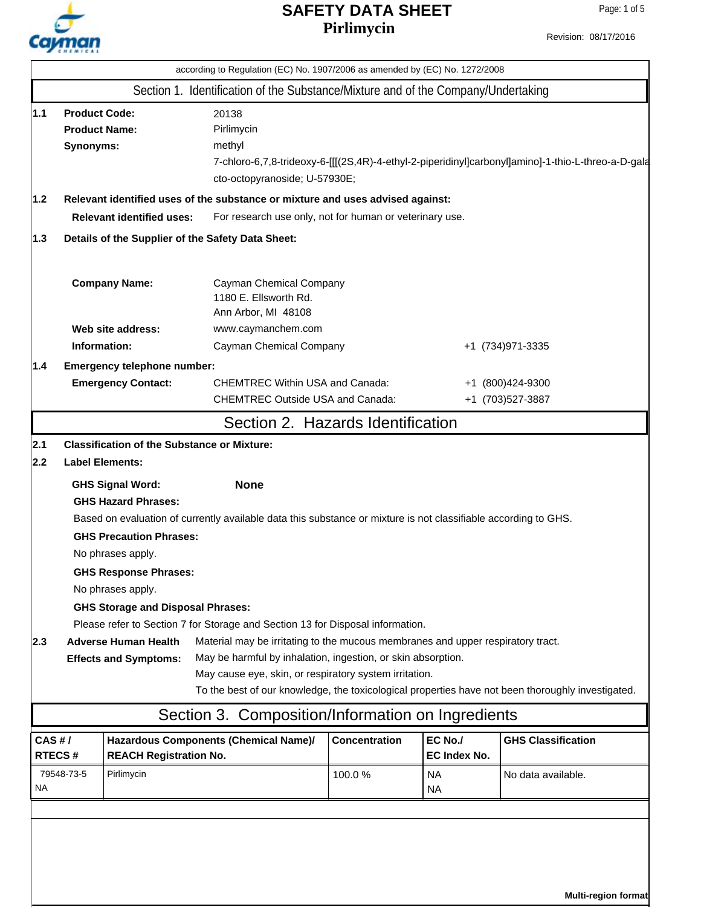

Revision: 08/17/2016

|                  |                                                                                                                                                                                                                                   | according to Regulation (EC) No. 1907/2006 as amended by (EC) No. 1272/2008                                                                                                                                      |                      |                         |                                                                                                   |
|------------------|-----------------------------------------------------------------------------------------------------------------------------------------------------------------------------------------------------------------------------------|------------------------------------------------------------------------------------------------------------------------------------------------------------------------------------------------------------------|----------------------|-------------------------|---------------------------------------------------------------------------------------------------|
|                  |                                                                                                                                                                                                                                   | Section 1. Identification of the Substance/Mixture and of the Company/Undertaking                                                                                                                                |                      |                         |                                                                                                   |
| 1.1              | <b>Product Code:</b><br>20138<br><b>Product Name:</b><br>Pirlimycin<br>Synonyms:<br>methyl<br>7-chloro-6,7,8-trideoxy-6-[[[(2S,4R)-4-ethyl-2-piperidinyl]carbonyl]amino]-1-thio-L-threo-a-D-gala<br>cto-octopyranoside; U-57930E; |                                                                                                                                                                                                                  |                      |                         |                                                                                                   |
| 1.2              |                                                                                                                                                                                                                                   | Relevant identified uses of the substance or mixture and uses advised against:                                                                                                                                   |                      |                         |                                                                                                   |
|                  | <b>Relevant identified uses:</b>                                                                                                                                                                                                  | For research use only, not for human or veterinary use.                                                                                                                                                          |                      |                         |                                                                                                   |
| 1.3              |                                                                                                                                                                                                                                   | Details of the Supplier of the Safety Data Sheet:                                                                                                                                                                |                      |                         |                                                                                                   |
|                  | <b>Company Name:</b>                                                                                                                                                                                                              | Cayman Chemical Company<br>1180 E. Ellsworth Rd.<br>Ann Arbor, MI 48108                                                                                                                                          |                      |                         |                                                                                                   |
|                  | Web site address:                                                                                                                                                                                                                 | www.caymanchem.com                                                                                                                                                                                               |                      |                         |                                                                                                   |
|                  | Information:                                                                                                                                                                                                                      | Cayman Chemical Company                                                                                                                                                                                          |                      |                         | +1 (734) 971-3335                                                                                 |
| 1.4              | Emergency telephone number:                                                                                                                                                                                                       |                                                                                                                                                                                                                  |                      |                         |                                                                                                   |
|                  | <b>Emergency Contact:</b>                                                                                                                                                                                                         | <b>CHEMTREC Within USA and Canada:</b><br><b>CHEMTREC Outside USA and Canada:</b>                                                                                                                                |                      |                         | +1 (800)424-9300<br>+1 (703)527-3887                                                              |
|                  |                                                                                                                                                                                                                                   |                                                                                                                                                                                                                  |                      |                         |                                                                                                   |
|                  |                                                                                                                                                                                                                                   | Section 2. Hazards Identification                                                                                                                                                                                |                      |                         |                                                                                                   |
| 2.1              | <b>Classification of the Substance or Mixture:</b>                                                                                                                                                                                |                                                                                                                                                                                                                  |                      |                         |                                                                                                   |
| 2.2              | <b>Label Elements:</b>                                                                                                                                                                                                            |                                                                                                                                                                                                                  |                      |                         |                                                                                                   |
|                  | <b>GHS Signal Word:</b><br><b>GHS Hazard Phrases:</b><br><b>GHS Precaution Phrases:</b><br>No phrases apply.<br><b>GHS Response Phrases:</b><br>No phrases apply.<br><b>GHS Storage and Disposal Phrases:</b>                     | <b>None</b><br>Based on evaluation of currently available data this substance or mixture is not classifiable according to GHS.<br>Please refer to Section 7 for Storage and Section 13 for Disposal information. |                      |                         |                                                                                                   |
| 2.3              | <b>Adverse Human Health</b><br><b>Effects and Symptoms:</b>                                                                                                                                                                       | Material may be irritating to the mucous membranes and upper respiratory tract.<br>May be harmful by inhalation, ingestion, or skin absorption.<br>May cause eye, skin, or respiratory system irritation.        |                      |                         | To the best of our knowledge, the toxicological properties have not been thoroughly investigated. |
|                  |                                                                                                                                                                                                                                   | Section 3. Composition/Information on Ingredients                                                                                                                                                                |                      |                         |                                                                                                   |
| CAS H/<br>RTECS# | <b>REACH Registration No.</b>                                                                                                                                                                                                     | Hazardous Components (Chemical Name)/                                                                                                                                                                            | <b>Concentration</b> | EC No./<br>EC Index No. | <b>GHS Classification</b>                                                                         |
| 79548-73-5<br>NA | Pirlimycin                                                                                                                                                                                                                        |                                                                                                                                                                                                                  | 100.0%               | <b>NA</b><br><b>NA</b>  | No data available.                                                                                |
|                  |                                                                                                                                                                                                                                   |                                                                                                                                                                                                                  |                      |                         |                                                                                                   |
|                  |                                                                                                                                                                                                                                   |                                                                                                                                                                                                                  |                      |                         | Multi-region format                                                                               |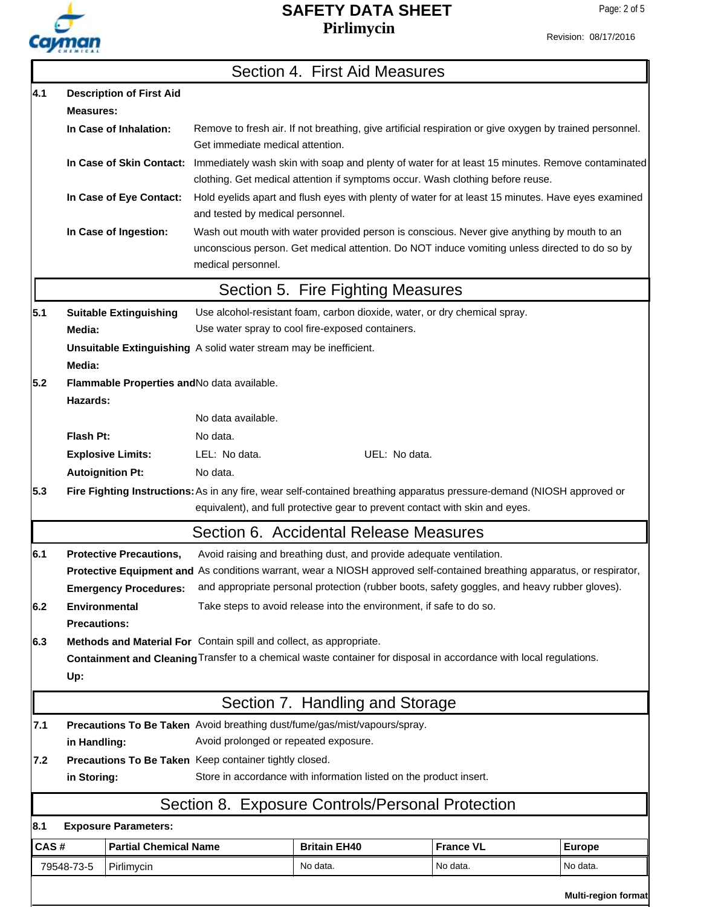

Revision: 08/17/2016

|      |                                                                                                                    |                                |                                                                   | Section 4. First Aid Measures                                                                                                                                                                               |                  |               |
|------|--------------------------------------------------------------------------------------------------------------------|--------------------------------|-------------------------------------------------------------------|-------------------------------------------------------------------------------------------------------------------------------------------------------------------------------------------------------------|------------------|---------------|
| 4.1  | <b>Description of First Aid</b>                                                                                    |                                |                                                                   |                                                                                                                                                                                                             |                  |               |
|      | <b>Measures:</b>                                                                                                   |                                |                                                                   |                                                                                                                                                                                                             |                  |               |
|      |                                                                                                                    | In Case of Inhalation:         | Get immediate medical attention.                                  | Remove to fresh air. If not breathing, give artificial respiration or give oxygen by trained personnel.                                                                                                     |                  |               |
|      |                                                                                                                    |                                |                                                                   | In Case of Skin Contact: Immediately wash skin with soap and plenty of water for at least 15 minutes. Remove contaminated<br>clothing. Get medical attention if symptoms occur. Wash clothing before reuse. |                  |               |
|      |                                                                                                                    | In Case of Eye Contact:        | and tested by medical personnel.                                  | Hold eyelids apart and flush eyes with plenty of water for at least 15 minutes. Have eyes examined                                                                                                          |                  |               |
|      |                                                                                                                    | In Case of Ingestion:          | medical personnel.                                                | Wash out mouth with water provided person is conscious. Never give anything by mouth to an<br>unconscious person. Get medical attention. Do NOT induce vomiting unless directed to do so by                 |                  |               |
|      |                                                                                                                    |                                |                                                                   | Section 5. Fire Fighting Measures                                                                                                                                                                           |                  |               |
| 5.1  |                                                                                                                    | <b>Suitable Extinguishing</b>  |                                                                   | Use alcohol-resistant foam, carbon dioxide, water, or dry chemical spray.                                                                                                                                   |                  |               |
|      | Media:                                                                                                             |                                |                                                                   | Use water spray to cool fire-exposed containers.                                                                                                                                                            |                  |               |
|      |                                                                                                                    |                                | Unsuitable Extinguishing A solid water stream may be inefficient. |                                                                                                                                                                                                             |                  |               |
|      | Media:                                                                                                             |                                |                                                                   |                                                                                                                                                                                                             |                  |               |
| 5.2  |                                                                                                                    |                                | Flammable Properties and No data available.                       |                                                                                                                                                                                                             |                  |               |
|      | Hazards:                                                                                                           |                                | No data available.                                                |                                                                                                                                                                                                             |                  |               |
|      |                                                                                                                    |                                |                                                                   |                                                                                                                                                                                                             |                  |               |
|      | Flash Pt:                                                                                                          |                                | No data.                                                          |                                                                                                                                                                                                             |                  |               |
|      |                                                                                                                    | <b>Explosive Limits:</b>       | LEL: No data.                                                     | UEL: No data.                                                                                                                                                                                               |                  |               |
|      | <b>Autoignition Pt:</b>                                                                                            |                                | No data.                                                          |                                                                                                                                                                                                             |                  |               |
| 5.3  |                                                                                                                    |                                |                                                                   | Fire Fighting Instructions: As in any fire, wear self-contained breathing apparatus pressure-demand (NIOSH approved or<br>equivalent), and full protective gear to prevent contact with skin and eyes.      |                  |               |
|      |                                                                                                                    |                                |                                                                   | Section 6. Accidental Release Measures                                                                                                                                                                      |                  |               |
| 6.1  |                                                                                                                    | <b>Protective Precautions,</b> |                                                                   | Avoid raising and breathing dust, and provide adequate ventilation.                                                                                                                                         |                  |               |
|      |                                                                                                                    |                                |                                                                   | Protective Equipment and As conditions warrant, wear a NIOSH approved self-contained breathing apparatus, or respirator,                                                                                    |                  |               |
|      |                                                                                                                    | <b>Emergency Procedures:</b>   |                                                                   | and appropriate personal protection (rubber boots, safety goggles, and heavy rubber gloves).                                                                                                                |                  |               |
| 6.2  | <b>Environmental</b><br><b>Precautions:</b>                                                                        |                                |                                                                   | Take steps to avoid release into the environment, if safe to do so.                                                                                                                                         |                  |               |
| 6.3  | Methods and Material For Contain spill and collect, as appropriate.                                                |                                |                                                                   |                                                                                                                                                                                                             |                  |               |
|      | Containment and Cleaning Transfer to a chemical waste container for disposal in accordance with local regulations. |                                |                                                                   |                                                                                                                                                                                                             |                  |               |
|      | Up:                                                                                                                |                                |                                                                   |                                                                                                                                                                                                             |                  |               |
|      |                                                                                                                    |                                |                                                                   | Section 7. Handling and Storage                                                                                                                                                                             |                  |               |
| 7.1  |                                                                                                                    |                                |                                                                   | Precautions To Be Taken Avoid breathing dust/fume/gas/mist/vapours/spray.                                                                                                                                   |                  |               |
|      | Avoid prolonged or repeated exposure.<br>in Handling:                                                              |                                |                                                                   |                                                                                                                                                                                                             |                  |               |
| 7.2  |                                                                                                                    |                                | Precautions To Be Taken Keep container tightly closed.            |                                                                                                                                                                                                             |                  |               |
|      | in Storing:                                                                                                        |                                |                                                                   | Store in accordance with information listed on the product insert.                                                                                                                                          |                  |               |
|      |                                                                                                                    |                                |                                                                   | Section 8. Exposure Controls/Personal Protection                                                                                                                                                            |                  |               |
| 8.1  |                                                                                                                    | <b>Exposure Parameters:</b>    |                                                                   |                                                                                                                                                                                                             |                  |               |
| CAS# |                                                                                                                    | <b>Partial Chemical Name</b>   |                                                                   | <b>Britain EH40</b>                                                                                                                                                                                         | <b>France VL</b> | <b>Europe</b> |
|      | 79548-73-5                                                                                                         | Pirlimycin                     |                                                                   | No data.                                                                                                                                                                                                    | No data.         | No data.      |
|      |                                                                                                                    |                                |                                                                   |                                                                                                                                                                                                             |                  |               |

**Multi-region format**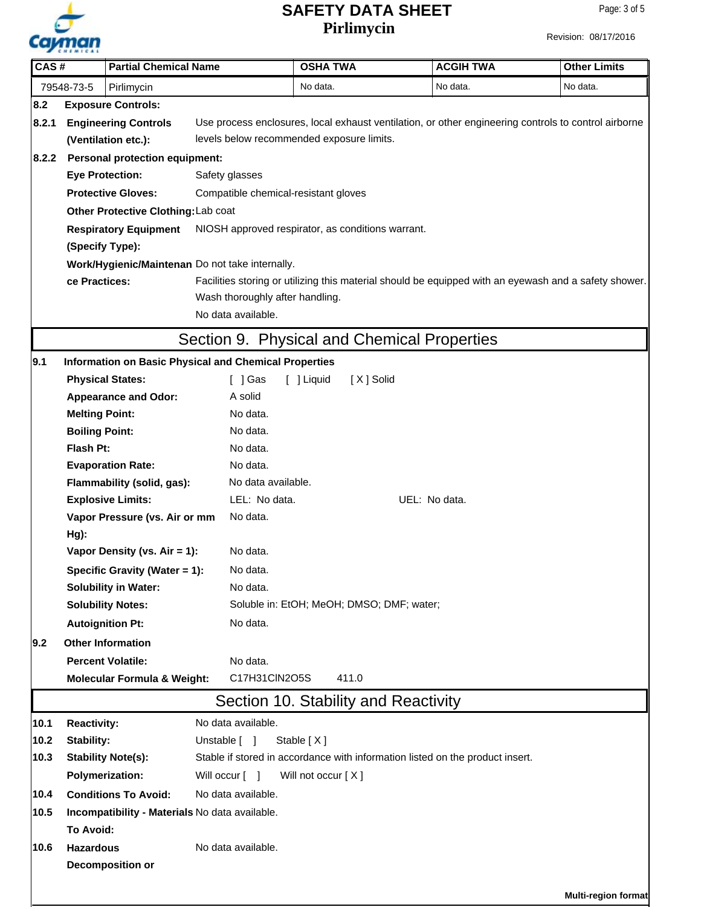

Revision: 08/17/2016

| CAS#                                      |                                                                                                                                     | <b>Partial Chemical Name</b>                      |                                                              | <b>OSHA TWA</b>                                                                                       |           | <b>ACGIH TWA</b>                                                              | <b>Other Limits</b>        |  |  |
|-------------------------------------------|-------------------------------------------------------------------------------------------------------------------------------------|---------------------------------------------------|--------------------------------------------------------------|-------------------------------------------------------------------------------------------------------|-----------|-------------------------------------------------------------------------------|----------------------------|--|--|
|                                           | 79548-73-5                                                                                                                          | Pirlimycin                                        |                                                              | No data.                                                                                              |           | No data.                                                                      | No data.                   |  |  |
| 8.2                                       |                                                                                                                                     | <b>Exposure Controls:</b>                         |                                                              |                                                                                                       |           |                                                                               |                            |  |  |
| 8.2.1                                     | <b>Engineering Controls</b><br>Use process enclosures, local exhaust ventilation, or other engineering controls to control airborne |                                                   |                                                              |                                                                                                       |           |                                                                               |                            |  |  |
|                                           | levels below recommended exposure limits.<br>(Ventilation etc.):                                                                    |                                                   |                                                              |                                                                                                       |           |                                                                               |                            |  |  |
| 8.2.2                                     | <b>Personal protection equipment:</b>                                                                                               |                                                   |                                                              |                                                                                                       |           |                                                                               |                            |  |  |
|                                           | <b>Eye Protection:</b>                                                                                                              |                                                   | Safety glasses                                               |                                                                                                       |           |                                                                               |                            |  |  |
|                                           |                                                                                                                                     | <b>Protective Gloves:</b>                         | Compatible chemical-resistant gloves                         |                                                                                                       |           |                                                                               |                            |  |  |
|                                           |                                                                                                                                     | Other Protective Clothing: Lab coat               |                                                              |                                                                                                       |           |                                                                               |                            |  |  |
|                                           |                                                                                                                                     | <b>Respiratory Equipment</b>                      | NIOSH approved respirator, as conditions warrant.            |                                                                                                       |           |                                                                               |                            |  |  |
|                                           | (Specify Type):                                                                                                                     |                                                   |                                                              |                                                                                                       |           |                                                                               |                            |  |  |
|                                           |                                                                                                                                     |                                                   | Work/Hygienic/Maintenan Do not take internally.              |                                                                                                       |           |                                                                               |                            |  |  |
|                                           | ce Practices:                                                                                                                       |                                                   |                                                              | Facilities storing or utilizing this material should be equipped with an eyewash and a safety shower. |           |                                                                               |                            |  |  |
|                                           |                                                                                                                                     |                                                   | Wash thoroughly after handling.                              |                                                                                                       |           |                                                                               |                            |  |  |
|                                           |                                                                                                                                     |                                                   | No data available.                                           |                                                                                                       |           |                                                                               |                            |  |  |
|                                           |                                                                                                                                     |                                                   | Section 9. Physical and Chemical Properties                  |                                                                                                       |           |                                                                               |                            |  |  |
| 9.1                                       |                                                                                                                                     |                                                   | <b>Information on Basic Physical and Chemical Properties</b> |                                                                                                       |           |                                                                               |                            |  |  |
|                                           |                                                                                                                                     | <b>Physical States:</b>                           | [ ] Gas                                                      | [ ] Liquid                                                                                            | [X] Solid |                                                                               |                            |  |  |
|                                           |                                                                                                                                     | <b>Appearance and Odor:</b>                       | A solid                                                      |                                                                                                       |           |                                                                               |                            |  |  |
|                                           | <b>Melting Point:</b>                                                                                                               |                                                   | No data.                                                     |                                                                                                       |           |                                                                               |                            |  |  |
|                                           | <b>Boiling Point:</b>                                                                                                               |                                                   | No data.                                                     |                                                                                                       |           |                                                                               |                            |  |  |
|                                           | Flash Pt:                                                                                                                           |                                                   | No data.                                                     |                                                                                                       |           |                                                                               |                            |  |  |
|                                           |                                                                                                                                     | <b>Evaporation Rate:</b>                          | No data.                                                     |                                                                                                       |           |                                                                               |                            |  |  |
|                                           |                                                                                                                                     | Flammability (solid, gas):                        | No data available.                                           |                                                                                                       |           |                                                                               |                            |  |  |
|                                           |                                                                                                                                     | <b>Explosive Limits:</b>                          | LEL: No data.                                                |                                                                                                       |           | UEL: No data.                                                                 |                            |  |  |
| Vapor Pressure (vs. Air or mm<br>No data. |                                                                                                                                     |                                                   |                                                              |                                                                                                       |           |                                                                               |                            |  |  |
|                                           | Hg):                                                                                                                                |                                                   |                                                              |                                                                                                       |           |                                                                               |                            |  |  |
|                                           |                                                                                                                                     | Vapor Density (vs. Air = 1):                      |                                                              | No data.<br>No data.<br>No data.                                                                      |           |                                                                               |                            |  |  |
|                                           |                                                                                                                                     | Specific Gravity (Water = 1):                     |                                                              |                                                                                                       |           |                                                                               |                            |  |  |
|                                           | <b>Solubility in Water:</b><br><b>Solubility Notes:</b>                                                                             |                                                   |                                                              | Soluble in: EtOH; MeOH; DMSO; DMF; water;                                                             |           |                                                                               |                            |  |  |
|                                           |                                                                                                                                     |                                                   | No data.                                                     |                                                                                                       |           |                                                                               |                            |  |  |
|                                           |                                                                                                                                     | <b>Autoignition Pt:</b>                           |                                                              |                                                                                                       |           |                                                                               |                            |  |  |
| 9.2                                       |                                                                                                                                     | <b>Other Information</b>                          |                                                              |                                                                                                       |           |                                                                               |                            |  |  |
|                                           |                                                                                                                                     | <b>Percent Volatile:</b>                          | No data.                                                     |                                                                                                       |           |                                                                               |                            |  |  |
|                                           |                                                                                                                                     | <b>Molecular Formula &amp; Weight:</b>            | C17H31CIN2O5S                                                | 411.0                                                                                                 |           |                                                                               |                            |  |  |
|                                           | Section 10. Stability and Reactivity                                                                                                |                                                   |                                                              |                                                                                                       |           |                                                                               |                            |  |  |
| 10.1                                      | <b>Reactivity:</b>                                                                                                                  |                                                   | No data available.                                           |                                                                                                       |           |                                                                               |                            |  |  |
| 10.2<br>10.3                              | Stability:                                                                                                                          |                                                   | Unstable [ ]                                                 | Stable $[X]$                                                                                          |           | Stable if stored in accordance with information listed on the product insert. |                            |  |  |
|                                           | <b>Polymerization:</b>                                                                                                              | <b>Stability Note(s):</b>                         | Will occur [ ]                                               | Will not occur [X]                                                                                    |           |                                                                               |                            |  |  |
|                                           |                                                                                                                                     |                                                   |                                                              |                                                                                                       |           |                                                                               |                            |  |  |
| 10.4                                      |                                                                                                                                     | <b>Conditions To Avoid:</b><br>No data available. |                                                              |                                                                                                       |           |                                                                               |                            |  |  |
| 10.5                                      |                                                                                                                                     |                                                   | Incompatibility - Materials No data available.               |                                                                                                       |           |                                                                               |                            |  |  |
|                                           | To Avoid:                                                                                                                           |                                                   | No data available.                                           |                                                                                                       |           |                                                                               |                            |  |  |
| 10.6                                      | <b>Hazardous</b>                                                                                                                    |                                                   |                                                              |                                                                                                       |           |                                                                               |                            |  |  |
|                                           |                                                                                                                                     | <b>Decomposition or</b>                           |                                                              |                                                                                                       |           |                                                                               |                            |  |  |
|                                           |                                                                                                                                     |                                                   |                                                              |                                                                                                       |           |                                                                               | <b>Multi-region format</b> |  |  |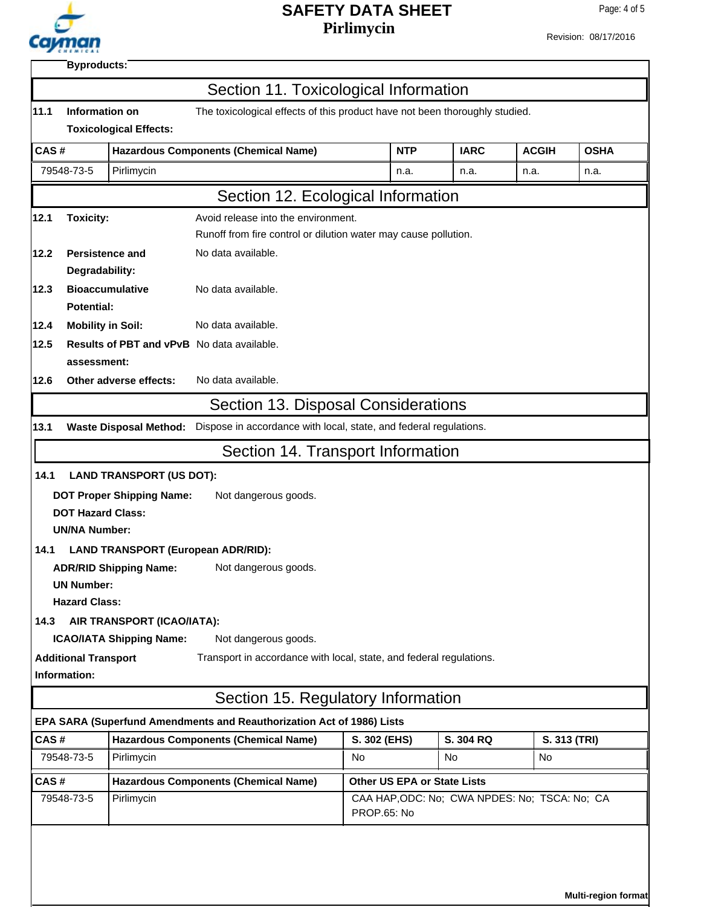

Revision: 08/17/2016

| 11.1                                                                    |                                                                                                                                |                                                                            | Section 11. Toxicological Information                                 |                                                              |             |              |              |
|-------------------------------------------------------------------------|--------------------------------------------------------------------------------------------------------------------------------|----------------------------------------------------------------------------|-----------------------------------------------------------------------|--------------------------------------------------------------|-------------|--------------|--------------|
|                                                                         | Information on<br>The toxicological effects of this product have not been thoroughly studied.<br><b>Toxicological Effects:</b> |                                                                            |                                                                       |                                                              |             |              |              |
| CAS#                                                                    |                                                                                                                                |                                                                            | <b>Hazardous Components (Chemical Name)</b>                           | <b>NTP</b>                                                   | <b>IARC</b> | <b>ACGIH</b> | <b>OSHA</b>  |
|                                                                         | 79548-73-5                                                                                                                     | Pirlimycin                                                                 |                                                                       | n.a.                                                         | n.a.        | n.a.         | n.a.         |
|                                                                         |                                                                                                                                |                                                                            |                                                                       |                                                              |             |              |              |
|                                                                         |                                                                                                                                |                                                                            | Section 12. Ecological Information                                    |                                                              |             |              |              |
| 12.1                                                                    | <b>Toxicity:</b>                                                                                                               |                                                                            | Avoid release into the environment.                                   |                                                              |             |              |              |
| Runoff from fire control or dilution water may cause pollution.<br>12.2 |                                                                                                                                |                                                                            |                                                                       |                                                              |             |              |              |
|                                                                         | Persistence and<br>No data available.<br>Degradability:                                                                        |                                                                            |                                                                       |                                                              |             |              |              |
| 12.3                                                                    |                                                                                                                                | <b>Bioaccumulative</b>                                                     | No data available.                                                    |                                                              |             |              |              |
|                                                                         | <b>Potential:</b>                                                                                                              |                                                                            |                                                                       |                                                              |             |              |              |
| 12.4                                                                    | <b>Mobility in Soil:</b>                                                                                                       |                                                                            | No data available.                                                    |                                                              |             |              |              |
| 12.5                                                                    |                                                                                                                                |                                                                            | <b>Results of PBT and vPvB</b> No data available.                     |                                                              |             |              |              |
|                                                                         | assessment:                                                                                                                    |                                                                            |                                                                       |                                                              |             |              |              |
| 12.6                                                                    |                                                                                                                                | Other adverse effects:                                                     | No data available.                                                    |                                                              |             |              |              |
|                                                                         |                                                                                                                                |                                                                            | Section 13. Disposal Considerations                                   |                                                              |             |              |              |
| 13.1                                                                    |                                                                                                                                | <b>Waste Disposal Method:</b>                                              | Dispose in accordance with local, state, and federal regulations.     |                                                              |             |              |              |
|                                                                         |                                                                                                                                |                                                                            | Section 14. Transport Information                                     |                                                              |             |              |              |
| 14.1                                                                    |                                                                                                                                | <b>LAND TRANSPORT (US DOT):</b>                                            |                                                                       |                                                              |             |              |              |
|                                                                         |                                                                                                                                | <b>DOT Proper Shipping Name:</b>                                           | Not dangerous goods.                                                  |                                                              |             |              |              |
|                                                                         |                                                                                                                                | <b>DOT Hazard Class:</b>                                                   |                                                                       |                                                              |             |              |              |
|                                                                         | <b>UN/NA Number:</b>                                                                                                           |                                                                            |                                                                       |                                                              |             |              |              |
| 14.1                                                                    |                                                                                                                                | <b>LAND TRANSPORT (European ADR/RID):</b>                                  |                                                                       |                                                              |             |              |              |
|                                                                         |                                                                                                                                | <b>ADR/RID Shipping Name:</b>                                              | Not dangerous goods.                                                  |                                                              |             |              |              |
|                                                                         | <b>UN Number:</b>                                                                                                              |                                                                            |                                                                       |                                                              |             |              |              |
|                                                                         | <b>Hazard Class:</b>                                                                                                           |                                                                            |                                                                       |                                                              |             |              |              |
| 14.3                                                                    |                                                                                                                                | AIR TRANSPORT (ICAO/IATA):                                                 |                                                                       |                                                              |             |              |              |
|                                                                         |                                                                                                                                | <b>ICAO/IATA Shipping Name:</b>                                            | Not dangerous goods.                                                  |                                                              |             |              |              |
|                                                                         | <b>Additional Transport</b>                                                                                                    |                                                                            | Transport in accordance with local, state, and federal regulations.   |                                                              |             |              |              |
|                                                                         | Information:                                                                                                                   |                                                                            |                                                                       |                                                              |             |              |              |
|                                                                         |                                                                                                                                |                                                                            | Section 15. Regulatory Information                                    |                                                              |             |              |              |
|                                                                         |                                                                                                                                |                                                                            | EPA SARA (Superfund Amendments and Reauthorization Act of 1986) Lists |                                                              |             |              |              |
| CAS#                                                                    |                                                                                                                                |                                                                            | <b>Hazardous Components (Chemical Name)</b>                           | S. 302 (EHS)                                                 | S. 304 RQ   |              | S. 313 (TRI) |
|                                                                         | 79548-73-5                                                                                                                     | Pirlimycin                                                                 |                                                                       | No.                                                          | No.         | No           |              |
| CAS#                                                                    |                                                                                                                                | <b>Hazardous Components (Chemical Name)</b><br>Other US EPA or State Lists |                                                                       |                                                              |             |              |              |
|                                                                         | 79548-73-5                                                                                                                     | Pirlimycin                                                                 |                                                                       | CAA HAP, ODC: No; CWA NPDES: No; TSCA: No; CA<br>PROP.65: No |             |              |              |
|                                                                         |                                                                                                                                |                                                                            |                                                                       |                                                              |             |              |              |